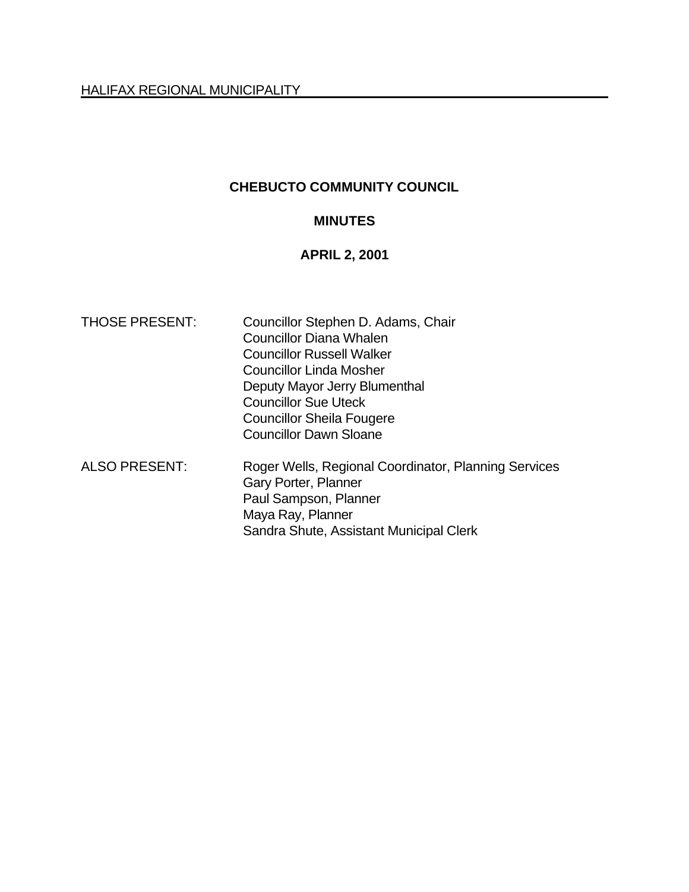# **CHEBUCTO COMMUNITY COUNCIL**

### **MINUTES**

## **APRIL 2, 2001**

| Councillor Stephen D. Adams, Chair                                           |  |  |  |
|------------------------------------------------------------------------------|--|--|--|
| <b>Councillor Diana Whalen</b>                                               |  |  |  |
| <b>Councillor Russell Walker</b>                                             |  |  |  |
| <b>Councillor Linda Mosher</b>                                               |  |  |  |
| Deputy Mayor Jerry Blumenthal                                                |  |  |  |
| <b>Councillor Sue Uteck</b>                                                  |  |  |  |
| <b>Councillor Sheila Fougere</b>                                             |  |  |  |
| <b>Councillor Dawn Sloane</b>                                                |  |  |  |
| Roger Wells, Regional Coordinator, Planning Services<br>Gary Porter, Planner |  |  |  |
| Paul Sampson, Planner                                                        |  |  |  |
| Maya Ray, Planner                                                            |  |  |  |
| Sandra Shute, Assistant Municipal Clerk                                      |  |  |  |
|                                                                              |  |  |  |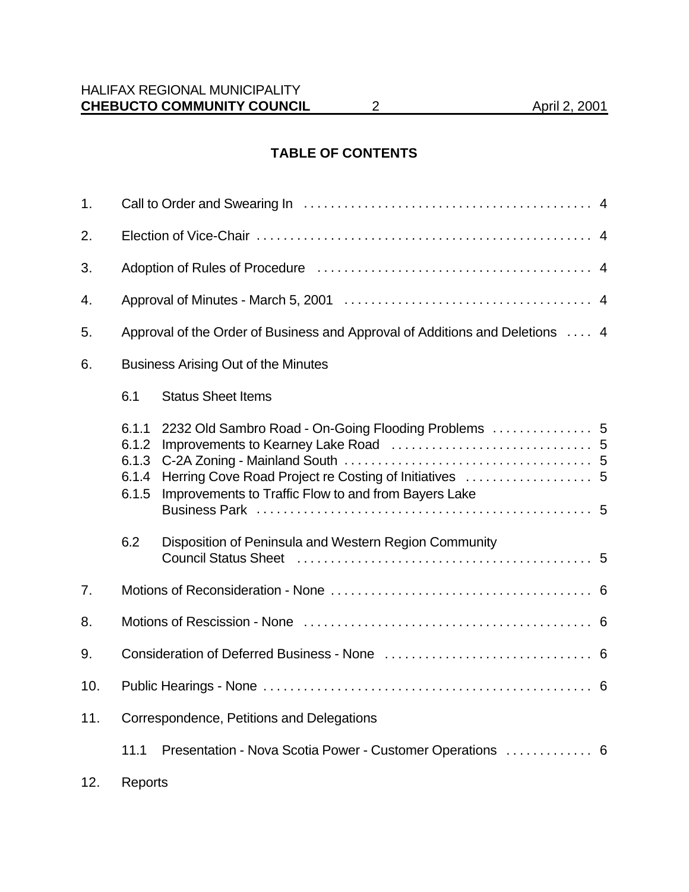# **TABLE OF CONTENTS**

| 1.  |                                                                              |                                                                                                                                                                          |  |  |  |
|-----|------------------------------------------------------------------------------|--------------------------------------------------------------------------------------------------------------------------------------------------------------------------|--|--|--|
| 2.  |                                                                              |                                                                                                                                                                          |  |  |  |
| 3.  |                                                                              |                                                                                                                                                                          |  |  |  |
| 4.  |                                                                              |                                                                                                                                                                          |  |  |  |
| 5.  | Approval of the Order of Business and Approval of Additions and Deletions  4 |                                                                                                                                                                          |  |  |  |
| 6.  | <b>Business Arising Out of the Minutes</b>                                   |                                                                                                                                                                          |  |  |  |
|     | 6.1                                                                          | <b>Status Sheet Items</b>                                                                                                                                                |  |  |  |
|     | 6.1.1<br>6.1.2<br>6.1.3<br>6.1.4<br>6.1.5                                    | 2232 Old Sambro Road - On-Going Flooding Problems<br>Improvements to Traffic Flow to and from Bayers Lake                                                                |  |  |  |
|     | 6.2                                                                          | Disposition of Peninsula and Western Region Community<br>Council Status Sheet (and the contract of the state of the state of the state of the Sound State of the State S |  |  |  |
| 7.  |                                                                              |                                                                                                                                                                          |  |  |  |
| 8.  |                                                                              |                                                                                                                                                                          |  |  |  |
| 9.  |                                                                              |                                                                                                                                                                          |  |  |  |
| 10. |                                                                              |                                                                                                                                                                          |  |  |  |
| 11. | Correspondence, Petitions and Delegations                                    |                                                                                                                                                                          |  |  |  |
|     | 11.1                                                                         | Presentation - Nova Scotia Power - Customer Operations  6                                                                                                                |  |  |  |
| 12. | Reports                                                                      |                                                                                                                                                                          |  |  |  |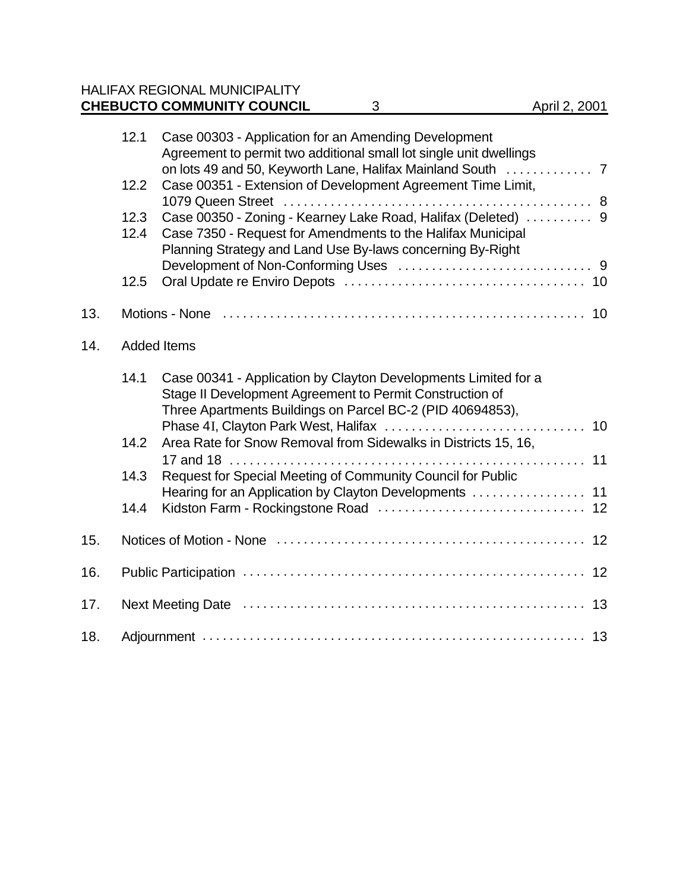# HALIFAX REGIONAL MUNICIPALITY **CHEBUCTO COMMUNITY COUNCIL** 3 April 2, 2001

|     | 12.1               | Case 00303 - Application for an Amending Development<br>Agreement to permit two additional small lot single unit dwellings                                                                 |  |  |  |
|-----|--------------------|--------------------------------------------------------------------------------------------------------------------------------------------------------------------------------------------|--|--|--|
|     | 12.2               | Case 00351 - Extension of Development Agreement Time Limit,                                                                                                                                |  |  |  |
|     | 12.3<br>12.4       | Case 00350 - Zoning - Kearney Lake Road, Halifax (Deleted)  9<br>Case 7350 - Request for Amendments to the Halifax Municipal<br>Planning Strategy and Land Use By-laws concerning By-Right |  |  |  |
|     | 12.5               |                                                                                                                                                                                            |  |  |  |
| 13. |                    |                                                                                                                                                                                            |  |  |  |
| 14. | <b>Added Items</b> |                                                                                                                                                                                            |  |  |  |
|     | 14.1               | Case 00341 - Application by Clayton Developments Limited for a<br>Stage II Development Agreement to Permit Construction of<br>Three Apartments Buildings on Parcel BC-2 (PID 40694853),    |  |  |  |
|     | 14.2               | Area Rate for Snow Removal from Sidewalks in Districts 15, 16,                                                                                                                             |  |  |  |
|     | 14.3               | Request for Special Meeting of Community Council for Public<br>Hearing for an Application by Clayton Developments  11                                                                      |  |  |  |
|     | 14.4               |                                                                                                                                                                                            |  |  |  |
| 15. |                    |                                                                                                                                                                                            |  |  |  |
| 16. |                    |                                                                                                                                                                                            |  |  |  |
| 17. |                    |                                                                                                                                                                                            |  |  |  |
| 18. |                    |                                                                                                                                                                                            |  |  |  |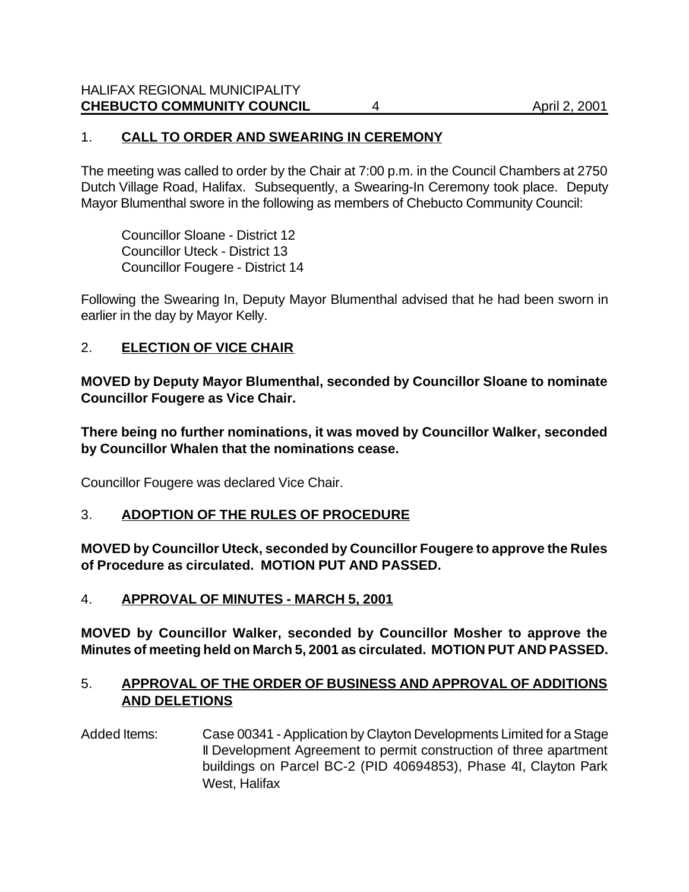## 1. **CALL TO ORDER AND SWEARING IN CEREMONY**

The meeting was called to order by the Chair at 7:00 p.m. in the Council Chambers at 2750 Dutch Village Road, Halifax. Subsequently, a Swearing-In Ceremony took place. Deputy Mayor Blumenthal swore in the following as members of Chebucto Community Council:

Councillor Sloane - District 12 Councillor Uteck - District 13 Councillor Fougere - District 14

Following the Swearing In, Deputy Mayor Blumenthal advised that he had been sworn in earlier in the day by Mayor Kelly.

### 2. **ELECTION OF VICE CHAIR**

**MOVED by Deputy Mayor Blumenthal, seconded by Councillor Sloane to nominate Councillor Fougere as Vice Chair.**

**There being no further nominations, it was moved by Councillor Walker, seconded by Councillor Whalen that the nominations cease.**

Councillor Fougere was declared Vice Chair.

### 3. **ADOPTION OF THE RULES OF PROCEDURE**

**MOVED by Councillor Uteck, seconded by Councillor Fougere to approve the Rules of Procedure as circulated. MOTION PUT AND PASSED.**

4. **APPROVAL OF MINUTES - MARCH 5, 2001**

**MOVED by Councillor Walker, seconded by Councillor Mosher to approve the Minutes of meeting held on March 5, 2001 as circulated. MOTION PUT AND PASSED.**

### 5. **APPROVAL OF THE ORDER OF BUSINESS AND APPROVAL OF ADDITIONS AND DELETIONS**

Added Items: Case 00341 - Application by Clayton Developments Limited for a Stage II Development Agreement to permit construction of three apartment buildings on Parcel BC-2 (PID 40694853), Phase 4I, Clayton Park West, Halifax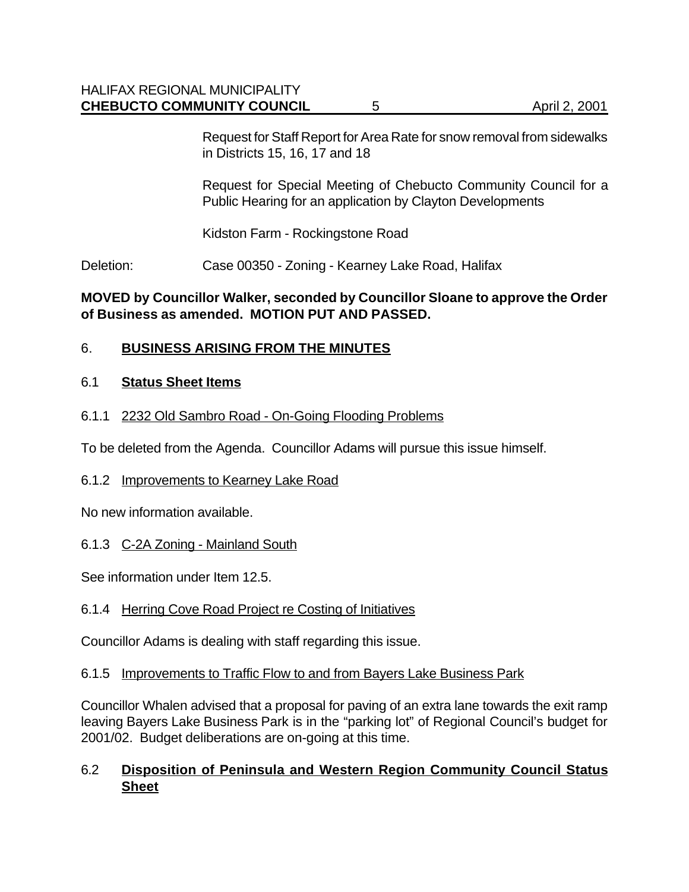Request for Staff Report for Area Rate for snow removal from sidewalks in Districts 15, 16, 17 and 18

Request for Special Meeting of Chebucto Community Council for a Public Hearing for an application by Clayton Developments

Kidston Farm - Rockingstone Road

Deletion: Case 00350 - Zoning - Kearney Lake Road, Halifax

## **MOVED by Councillor Walker, seconded by Councillor Sloane to approve the Order of Business as amended. MOTION PUT AND PASSED.**

# 6. **BUSINESS ARISING FROM THE MINUTES**

# 6.1 **Status Sheet Items**

### 6.1.1 2232 Old Sambro Road - On-Going Flooding Problems

To be deleted from the Agenda. Councillor Adams will pursue this issue himself.

### 6.1.2 Improvements to Kearney Lake Road

No new information available.

### 6.1.3 C-2A Zoning - Mainland South

See information under Item 12.5.

# 6.1.4 Herring Cove Road Project re Costing of Initiatives

Councillor Adams is dealing with staff regarding this issue.

### 6.1.5 Improvements to Traffic Flow to and from Bayers Lake Business Park

Councillor Whalen advised that a proposal for paving of an extra lane towards the exit ramp leaving Bayers Lake Business Park is in the "parking lot" of Regional Council's budget for 2001/02. Budget deliberations are on-going at this time.

# 6.2 **Disposition of Peninsula and Western Region Community Council Status Sheet**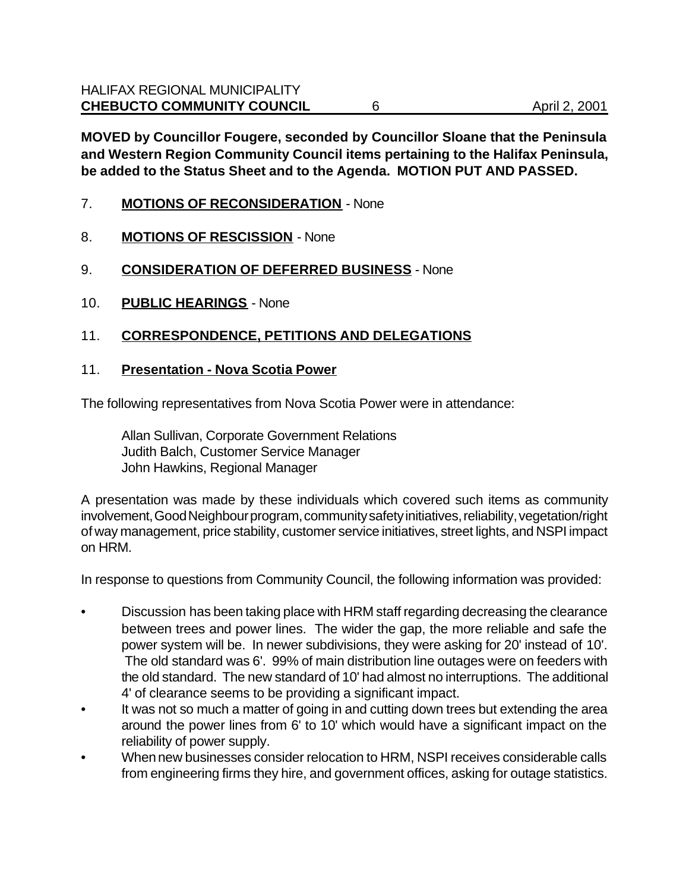**MOVED by Councillor Fougere, seconded by Councillor Sloane that the Peninsula and Western Region Community Council items pertaining to the Halifax Peninsula, be added to the Status Sheet and to the Agenda. MOTION PUT AND PASSED.**

- 7. **MOTIONS OF RECONSIDERATION** None
- 8. **MOTIONS OF RESCISSION** None
- 9. **CONSIDERATION OF DEFERRED BUSINESS** None
- 10. **PUBLIC HEARINGS** None

### 11. **CORRESPONDENCE, PETITIONS AND DELEGATIONS**

### 11. **Presentation - Nova Scotia Power**

The following representatives from Nova Scotia Power were in attendance:

Allan Sullivan, Corporate Government Relations Judith Balch, Customer Service Manager John Hawkins, Regional Manager

A presentation was made by these individuals which covered such items as community involvement, Good Neighbour program, community safety initiatives, reliability, vegetation/right of way management, price stability, customer service initiatives, street lights, and NSPI impact on HRM.

In response to questions from Community Council, the following information was provided:

- Discussion has been taking place with HRM staff regarding decreasing the clearance between trees and power lines. The wider the gap, the more reliable and safe the power system will be. In newer subdivisions, they were asking for 20' instead of 10'. The old standard was 6'. 99% of main distribution line outages were on feeders with the old standard. The new standard of 10' had almost no interruptions. The additional 4' of clearance seems to be providing a significant impact.
- It was not so much a matter of going in and cutting down trees but extending the area around the power lines from 6' to 10' which would have a significant impact on the reliability of power supply.
- When new businesses consider relocation to HRM, NSPI receives considerable calls from engineering firms they hire, and government offices, asking for outage statistics.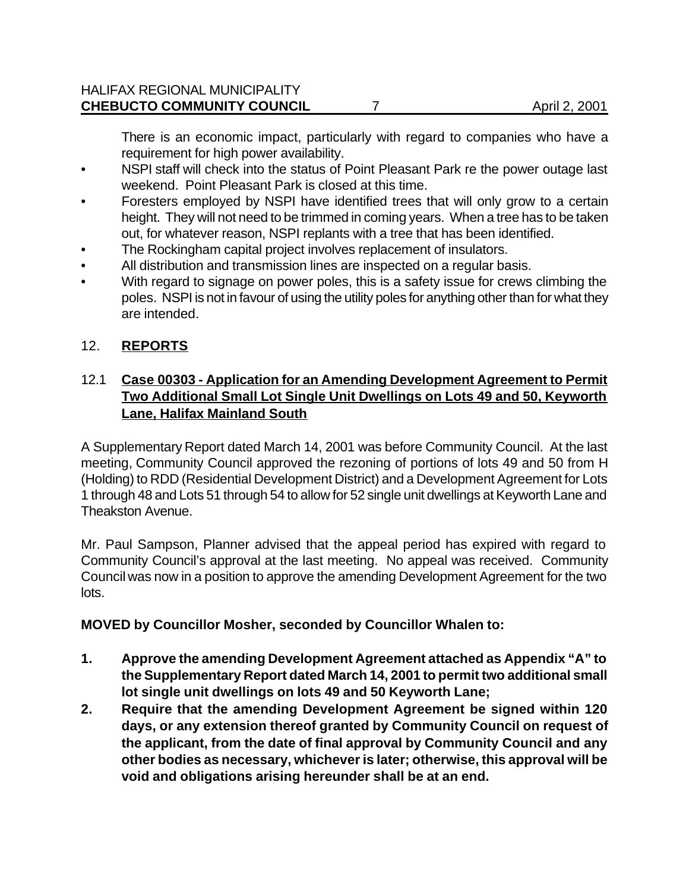There is an economic impact, particularly with regard to companies who have a requirement for high power availability.

- NSPI staff will check into the status of Point Pleasant Park re the power outage last weekend. Point Pleasant Park is closed at this time.
- Foresters employed by NSPI have identified trees that will only grow to a certain height. They will not need to be trimmed in coming years. When a tree has to be taken out, for whatever reason, NSPI replants with a tree that has been identified.
- The Rockingham capital project involves replacement of insulators.
- All distribution and transmission lines are inspected on a regular basis.
- With regard to signage on power poles, this is a safety issue for crews climbing the poles. NSPI is not in favour of using the utility poles for anything other than for what they are intended.

# 12. **REPORTS**

# 12.1 **Case 00303 - Application for an Amending Development Agreement to Permit Two Additional Small Lot Single Unit Dwellings on Lots 49 and 50, Keyworth Lane, Halifax Mainland South**

A Supplementary Report dated March 14, 2001 was before Community Council. At the last meeting, Community Council approved the rezoning of portions of lots 49 and 50 from H (Holding) to RDD (Residential Development District) and a Development Agreement for Lots 1 through 48 and Lots 51 through 54 to allow for 52 single unit dwellings at Keyworth Lane and Theakston Avenue.

Mr. Paul Sampson, Planner advised that the appeal period has expired with regard to Community Council's approval at the last meeting. No appeal was received. Community Council was now in a position to approve the amending Development Agreement for the two lots.

# **MOVED by Councillor Mosher, seconded by Councillor Whalen to:**

- **1. Approve the amending Development Agreement attached as Appendix "A" to the Supplementary Report dated March 14, 2001 to permit two additional small lot single unit dwellings on lots 49 and 50 Keyworth Lane;**
- **2. Require that the amending Development Agreement be signed within 120 days, or any extension thereof granted by Community Council on request of the applicant, from the date of final approval by Community Council and any other bodies as necessary, whichever is later; otherwise, this approval will be void and obligations arising hereunder shall be at an end.**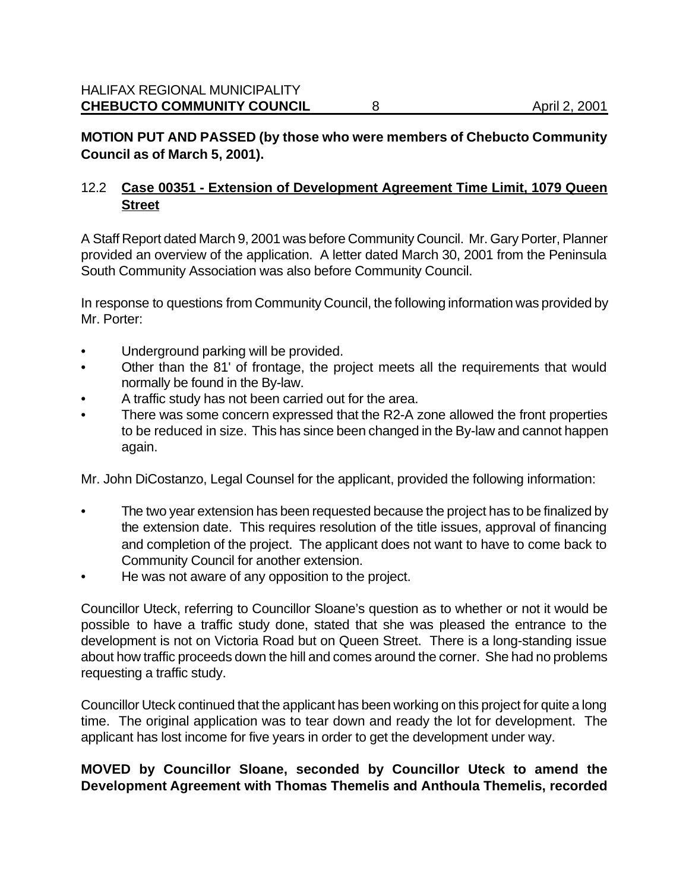# **MOTION PUT AND PASSED (by those who were members of Chebucto Community Council as of March 5, 2001).**

# 12.2 **Case 00351 - Extension of Development Agreement Time Limit, 1079 Queen Street**

A Staff Report dated March 9, 2001 was before Community Council. Mr. Gary Porter, Planner provided an overview of the application. A letter dated March 30, 2001 from the Peninsula South Community Association was also before Community Council.

In response to questions from Community Council, the following information was provided by Mr. Porter:

- Underground parking will be provided.
- Other than the 81' of frontage, the project meets all the requirements that would normally be found in the By-law.
- A traffic study has not been carried out for the area.
- There was some concern expressed that the R2-A zone allowed the front properties to be reduced in size. This has since been changed in the By-law and cannot happen again.

Mr. John DiCostanzo, Legal Counsel for the applicant, provided the following information:

- The two year extension has been requested because the project has to be finalized by the extension date. This requires resolution of the title issues, approval of financing and completion of the project. The applicant does not want to have to come back to Community Council for another extension.
- He was not aware of any opposition to the project.

Councillor Uteck, referring to Councillor Sloane's question as to whether or not it would be possible to have a traffic study done, stated that she was pleased the entrance to the development is not on Victoria Road but on Queen Street. There is a long-standing issue about how traffic proceeds down the hill and comes around the corner. She had no problems requesting a traffic study.

Councillor Uteck continued that the applicant has been working on this project for quite a long time. The original application was to tear down and ready the lot for development. The applicant has lost income for five years in order to get the development under way.

# **MOVED by Councillor Sloane, seconded by Councillor Uteck to amend the Development Agreement with Thomas Themelis and Anthoula Themelis, recorded**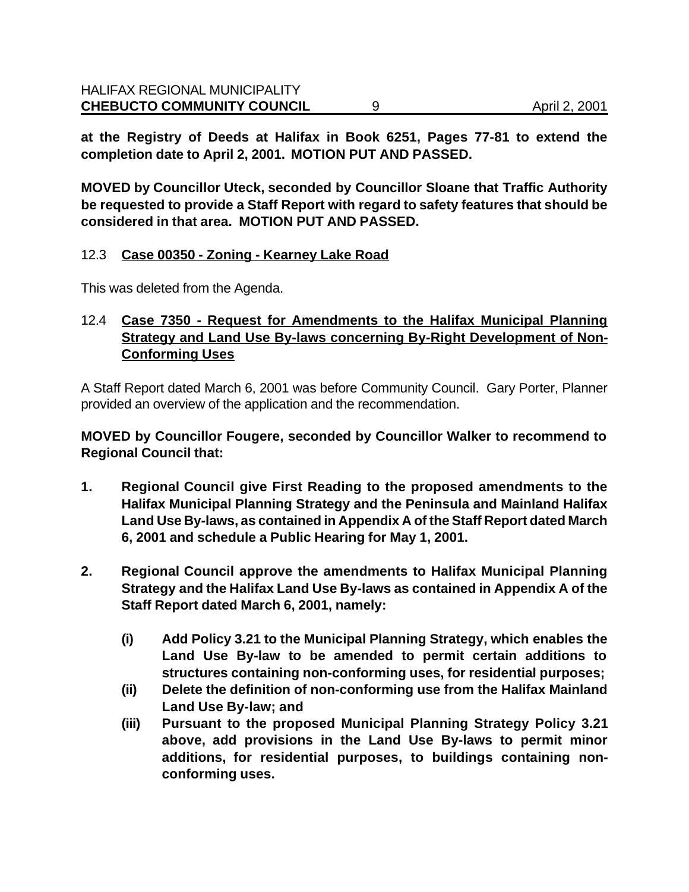**at the Registry of Deeds at Halifax in Book 6251, Pages 77-81 to extend the completion date to April 2, 2001. MOTION PUT AND PASSED.**

**MOVED by Councillor Uteck, seconded by Councillor Sloane that Traffic Authority be requested to provide a Staff Report with regard to safety features that should be considered in that area. MOTION PUT AND PASSED.**

### 12.3 **Case 00350 - Zoning - Kearney Lake Road**

This was deleted from the Agenda.

### 12.4 **Case 7350 - Request for Amendments to the Halifax Municipal Planning Strategy and Land Use By-laws concerning By-Right Development of Non-Conforming Uses**

A Staff Report dated March 6, 2001 was before Community Council. Gary Porter, Planner provided an overview of the application and the recommendation.

**MOVED by Councillor Fougere, seconded by Councillor Walker to recommend to Regional Council that:**

- **1. Regional Council give First Reading to the proposed amendments to the Halifax Municipal Planning Strategy and the Peninsula and Mainland Halifax Land Use By-laws, as contained in Appendix A of the Staff Report dated March 6, 2001 and schedule a Public Hearing for May 1, 2001.**
- **2. Regional Council approve the amendments to Halifax Municipal Planning Strategy and the Halifax Land Use By-laws as contained in Appendix A of the Staff Report dated March 6, 2001, namely:**
	- **(i) Add Policy 3.21 to the Municipal Planning Strategy, which enables the Land Use By-law to be amended to permit certain additions to structures containing non-conforming uses, for residential purposes;**
	- **(ii) Delete the definition of non-conforming use from the Halifax Mainland Land Use By-law; and**
	- **(iii) Pursuant to the proposed Municipal Planning Strategy Policy 3.21 above, add provisions in the Land Use By-laws to permit minor additions, for residential purposes, to buildings containing nonconforming uses.**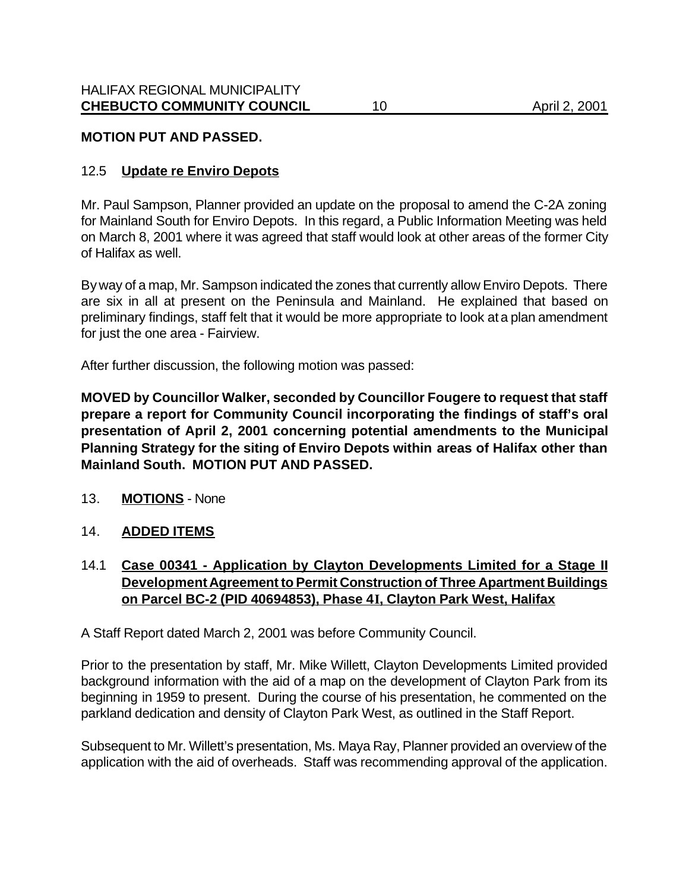### **MOTION PUT AND PASSED.**

#### 12.5 **Update re Enviro Depots**

Mr. Paul Sampson, Planner provided an update on the proposal to amend the C-2A zoning for Mainland South for Enviro Depots. In this regard, a Public Information Meeting was held on March 8, 2001 where it was agreed that staff would look at other areas of the former City of Halifax as well.

By way of a map, Mr. Sampson indicated the zones that currently allow Enviro Depots. There are six in all at present on the Peninsula and Mainland. He explained that based on preliminary findings, staff felt that it would be more appropriate to look at a plan amendment for just the one area - Fairview.

After further discussion, the following motion was passed:

**MOVED by Councillor Walker, seconded by Councillor Fougere to request that staff prepare a report for Community Council incorporating the findings of staff's oral presentation of April 2, 2001 concerning potential amendments to the Municipal Planning Strategy for the siting of Enviro Depots within areas of Halifax other than Mainland South. MOTION PUT AND PASSED.**

13. **MOTIONS** - None

#### 14. **ADDED ITEMS**

14.1 **Case 00341 - Application by Clayton Developments Limited for a Stage II Development Agreement to Permit Construction of Three Apartment Buildings on Parcel BC-2 (PID 40694853), Phase 4I, Clayton Park West, Halifax**

A Staff Report dated March 2, 2001 was before Community Council.

Prior to the presentation by staff, Mr. Mike Willett, Clayton Developments Limited provided background information with the aid of a map on the development of Clayton Park from its beginning in 1959 to present. During the course of his presentation, he commented on the parkland dedication and density of Clayton Park West, as outlined in the Staff Report.

Subsequent to Mr. Willett's presentation, Ms. Maya Ray, Planner provided an overview of the application with the aid of overheads. Staff was recommending approval of the application.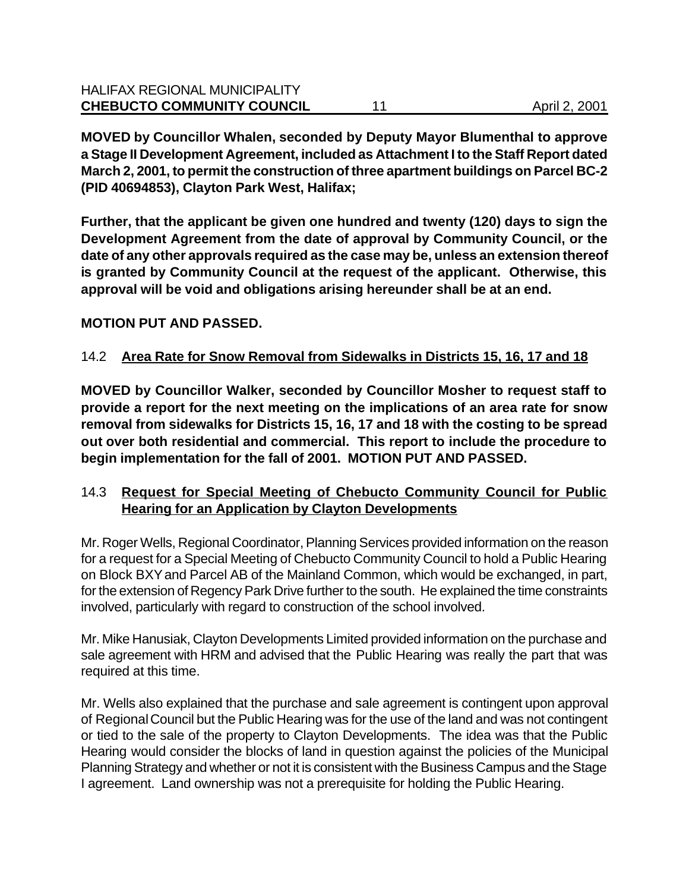**MOVED by Councillor Whalen, seconded by Deputy Mayor Blumenthal to approve a Stage II Development Agreement, included as Attachment I to the Staff Report dated March 2, 2001, to permit the construction of three apartment buildings on Parcel BC-2 (PID 40694853), Clayton Park West, Halifax;**

**Further, that the applicant be given one hundred and twenty (120) days to sign the Development Agreement from the date of approval by Community Council, or the date of any other approvals required as the case may be, unless an extension thereof is granted by Community Council at the request of the applicant. Otherwise, this approval will be void and obligations arising hereunder shall be at an end.** 

# **MOTION PUT AND PASSED.**

# 14.2 **Area Rate for Snow Removal from Sidewalks in Districts 15, 16, 17 and 18**

**MOVED by Councillor Walker, seconded by Councillor Mosher to request staff to provide a report for the next meeting on the implications of an area rate for snow removal from sidewalks for Districts 15, 16, 17 and 18 with the costing to be spread out over both residential and commercial. This report to include the procedure to begin implementation for the fall of 2001. MOTION PUT AND PASSED.**

# 14.3 **Request for Special Meeting of Chebucto Community Council for Public Hearing for an Application by Clayton Developments**

Mr. Roger Wells, Regional Coordinator, Planning Services provided information on the reason for a request for a Special Meeting of Chebucto Community Council to hold a Public Hearing on Block BXY and Parcel AB of the Mainland Common, which would be exchanged, in part, for the extension of Regency Park Drive further to the south. He explained the time constraints involved, particularly with regard to construction of the school involved.

Mr. Mike Hanusiak, Clayton Developments Limited provided information on the purchase and sale agreement with HRM and advised that the Public Hearing was really the part that was required at this time.

Mr. Wells also explained that the purchase and sale agreement is contingent upon approval of Regional Council but the Public Hearing was for the use of the land and was not contingent or tied to the sale of the property to Clayton Developments. The idea was that the Public Hearing would consider the blocks of land in question against the policies of the Municipal Planning Strategy and whether or not it is consistent with the Business Campus and the Stage I agreement. Land ownership was not a prerequisite for holding the Public Hearing.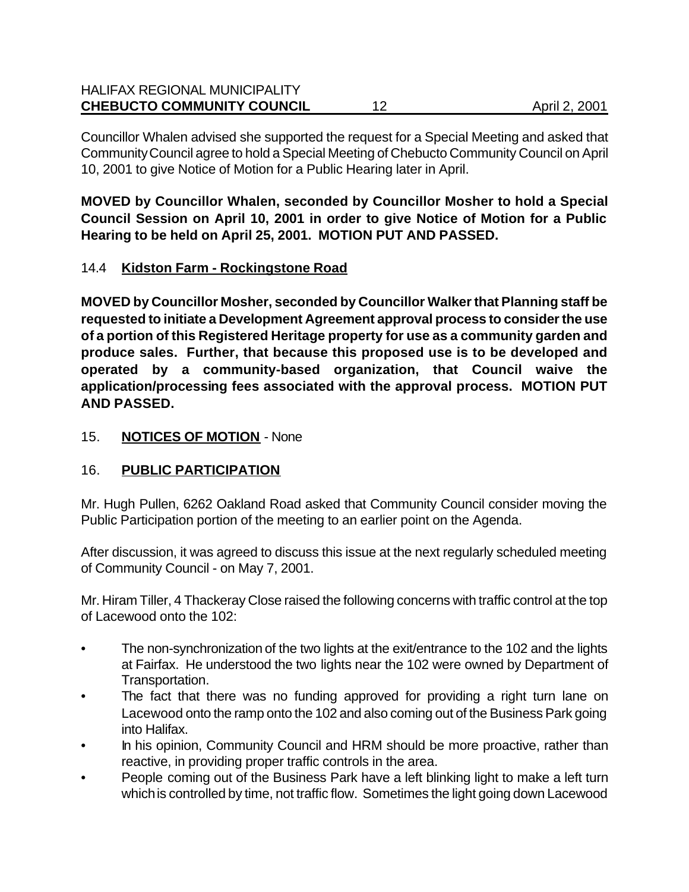| <b>HALIFAX REGIONAL MUNICIPALITY</b> |    |               |
|--------------------------------------|----|---------------|
| <b>CHEBUCTO COMMUNITY COUNCIL</b>    | 12 | April 2, 2001 |

Councillor Whalen advised she supported the request for a Special Meeting and asked that Community Council agree to hold a Special Meeting of Chebucto Community Council on April 10, 2001 to give Notice of Motion for a Public Hearing later in April.

**MOVED by Councillor Whalen, seconded by Councillor Mosher to hold a Special Council Session on April 10, 2001 in order to give Notice of Motion for a Public Hearing to be held on April 25, 2001. MOTION PUT AND PASSED.**

### 14.4 **Kidston Farm - Rockingstone Road**

**MOVED by Councillor Mosher, seconded by Councillor Walker that Planning staff be requested to initiate a Development Agreement approval process to consider the use of a portion of this Registered Heritage property for use as a community garden and produce sales. Further, that because this proposed use is to be developed and operated by a community-based organization, that Council waive the application/processing fees associated with the approval process. MOTION PUT AND PASSED.**

### 15. **NOTICES OF MOTION** - None

# 16. **PUBLIC PARTICIPATION**

Mr. Hugh Pullen, 6262 Oakland Road asked that Community Council consider moving the Public Participation portion of the meeting to an earlier point on the Agenda.

After discussion, it was agreed to discuss this issue at the next regularly scheduled meeting of Community Council - on May 7, 2001.

Mr. Hiram Tiller, 4 Thackeray Close raised the following concerns with traffic control at the top of Lacewood onto the 102:

- The non-synchronization of the two lights at the exit/entrance to the 102 and the lights at Fairfax. He understood the two lights near the 102 were owned by Department of Transportation.
- The fact that there was no funding approved for providing a right turn lane on Lacewood onto the ramp onto the 102 and also coming out of the Business Park going into Halifax.
- In his opinion, Community Council and HRM should be more proactive, rather than reactive, in providing proper traffic controls in the area.
- People coming out of the Business Park have a left blinking light to make a left turn which is controlled by time, not traffic flow. Sometimes the light going down Lacewood